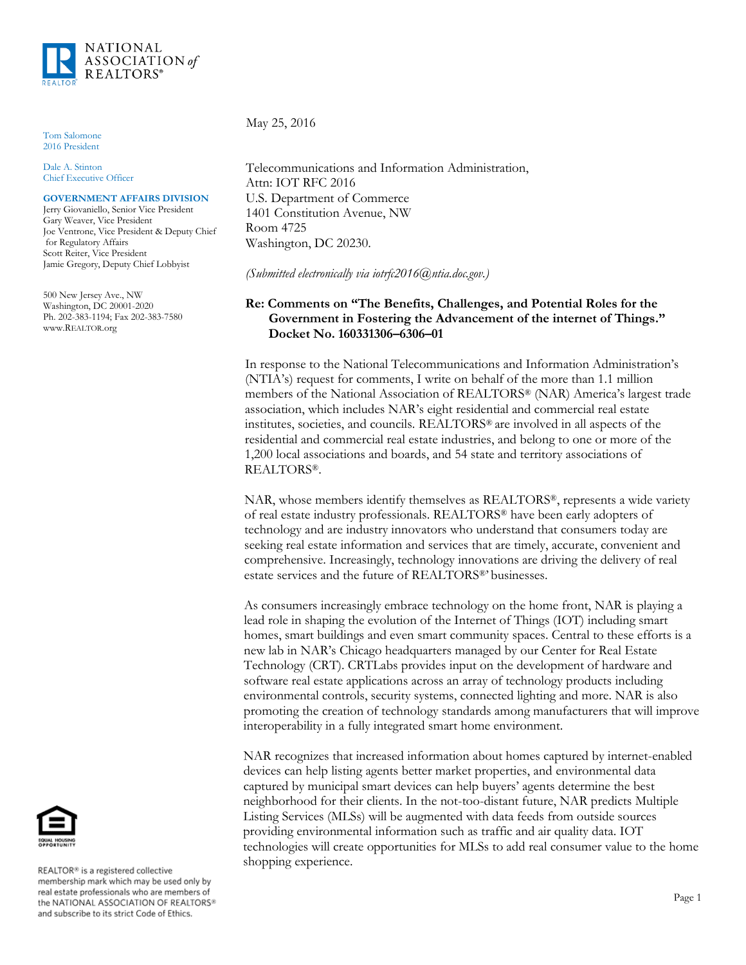

Tom Salomone 2016 President

Dale A. Stinton Chief Executive Officer

#### **GOVERNMENT AFFAIRS DIVISION**

Jerry Giovaniello, Senior Vice President Gary Weaver, Vice President Joe Ventrone, Vice President & Deputy Chief for Regulatory Affairs Scott Reiter, Vice President Jamie Gregory, Deputy Chief Lobbyist

500 New Jersey Ave., NW Washington, DC 20001-2020 Ph. 202-383-1194; Fax 202-383-7580 www.REALTOR.org

May 25, 2016

Telecommunications and Information Administration, Attn: IOT RFC 2016 U.S. Department of Commerce 1401 Constitution Avenue, NW Room 4725 Washington, DC 20230.

*(Submitted electronically via iotrfc2016@ntia.doc.gov.)*

### **Re: Comments on "The Benefits, Challenges, and Potential Roles for the Government in Fostering the Advancement of the internet of Things." Docket No. 160331306–6306–01**

In response to the National Telecommunications and Information Administration's (NTIA's) request for comments, I write on behalf of the more than 1.1 million members of the National Association of REALTORS® (NAR) America's largest trade association, which includes NAR's eight residential and commercial real estate institutes, societies, and councils. REALTORS® are involved in all aspects of the residential and commercial real estate industries, and belong to one or more of the 1,200 local associations and boards, and 54 state and territory associations of REALTORS®.

NAR, whose members identify themselves as REALTORS®, represents a wide variety of real estate industry professionals. REALTORS® have been early adopters of technology and are industry innovators who understand that consumers today are seeking real estate information and services that are timely, accurate, convenient and comprehensive. Increasingly, technology innovations are driving the delivery of real estate services and the future of REALTORS®' businesses.

As consumers increasingly embrace technology on the home front, NAR is playing a lead role in shaping the evolution of the Internet of Things (IOT) including smart homes, smart buildings and even smart community spaces. Central to these efforts is a new lab in NAR's Chicago headquarters managed by our Center for Real Estate Technology (CRT). CRTLabs provides input on the development of hardware and software real estate applications across an array of technology products including environmental controls, security systems, connected lighting and more. NAR is also promoting the creation of technology standards among manufacturers that will improve interoperability in a fully integrated smart home environment.

NAR recognizes that increased information about homes captured by internet-enabled devices can help listing agents better market properties, and environmental data captured by municipal smart devices can help buyers' agents determine the best neighborhood for their clients. In the not-too-distant future, NAR predicts Multiple Listing Services (MLSs) will be augmented with data feeds from outside sources providing environmental information such as traffic and air quality data. IOT technologies will create opportunities for MLSs to add real consumer value to the home shopping experience.



REALTOR® is a registered collective membership mark which may be used only by real estate professionals who are members of the NATIONAL ASSOCIATION OF REALTORS® and subscribe to its strict Code of Ethics.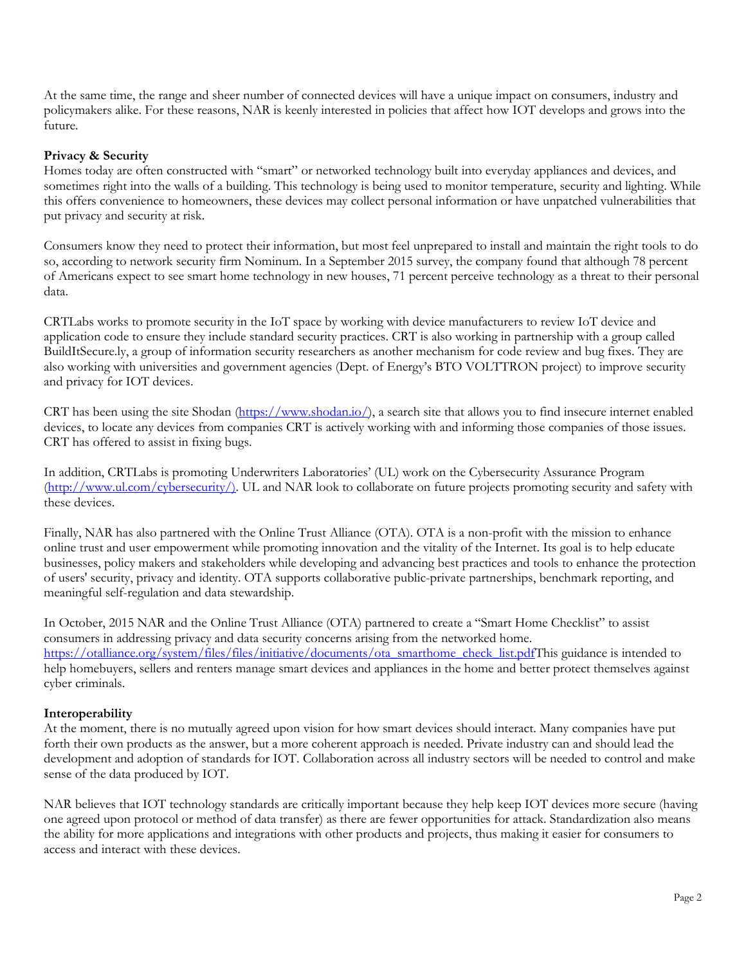At the same time, the range and sheer number of connected devices will have a unique impact on consumers, industry and policymakers alike. For these reasons, NAR is keenly interested in policies that affect how IOT develops and grows into the future.

### **Privacy & Security**

Homes today are often constructed with "smart" or networked technology built into everyday appliances and devices, and sometimes right into the walls of a building. This technology is being used to monitor temperature, security and lighting. While this offers convenience to homeowners, these devices may collect personal information or have unpatched vulnerabilities that put privacy and security at risk.

Consumers know they need to protect their information, but most feel unprepared to install and maintain the right tools to do so, according to network security firm Nominum. In a September 2015 survey, the company found that although 78 percent of Americans expect to see smart home technology in new houses, 71 percent perceive technology as a threat to their personal data.

CRTLabs works to promote security in the IoT space by working with device manufacturers to review IoT device and application code to ensure they include standard security practices. CRT is also working in partnership with a group called BuildItSecure.ly, a group of information security researchers as another mechanism for code review and bug fixes. They are also working with universities and government agencies (Dept. of Energy's BTO VOLTTRON project) to improve security and privacy for IOT devices.

CRT has been using the site Shodan [\(https://www.shodan.io/\)](https://www.shodan.io/), a search site that allows you to find insecure internet enabled devices, to locate any devices from companies CRT is actively working with and informing those companies of those issues. CRT has offered to assist in fixing bugs.

In addition, CRTLabs is promoting Underwriters Laboratories' (UL) work on the Cybersecurity Assurance Program [\(http://www.ul.com/cybersecurity/\).](http://www.ul.com/cybersecurity/)) UL and NAR look to collaborate on future projects promoting security and safety with these devices.

Finally, NAR has also partnered with the Online Trust Alliance (OTA). OTA is a non-profit with the mission to enhance online trust and user empowerment while promoting innovation and the vitality of the Internet. Its goal is to help educate businesses, policy makers and stakeholders while developing and advancing best practices and tools to enhance the protection of users' security, privacy and identity. OTA supports collaborative public-private partnerships, benchmark reporting, and meaningful self-regulation and data stewardship.

In October, 2015 NAR and the Online Trust Alliance (OTA) partnered to create a "Smart Home Checklist" to assist consumers in addressing privacy and data security concerns arising from the networked home. [https://otalliance.org/system/files/files/initiative/documents/ota\\_smarthome\\_check\\_list.pdfT](https://otalliance.org/system/files/files/initiative/documents/ota_smarthome_check_list.pdf)his guidance is intended to help homebuyers, sellers and renters manage smart devices and appliances in the home and better protect themselves against cyber criminals.

## **Interoperability**

At the moment, there is no mutually agreed upon vision for how smart devices should interact. Many companies have put forth their own products as the answer, but a more coherent approach is needed. Private industry can and should lead the development and adoption of standards for IOT. Collaboration across all industry sectors will be needed to control and make sense of the data produced by IOT.

NAR believes that IOT technology standards are critically important because they help keep IOT devices more secure (having one agreed upon protocol or method of data transfer) as there are fewer opportunities for attack. Standardization also means the ability for more applications and integrations with other products and projects, thus making it easier for consumers to access and interact with these devices.